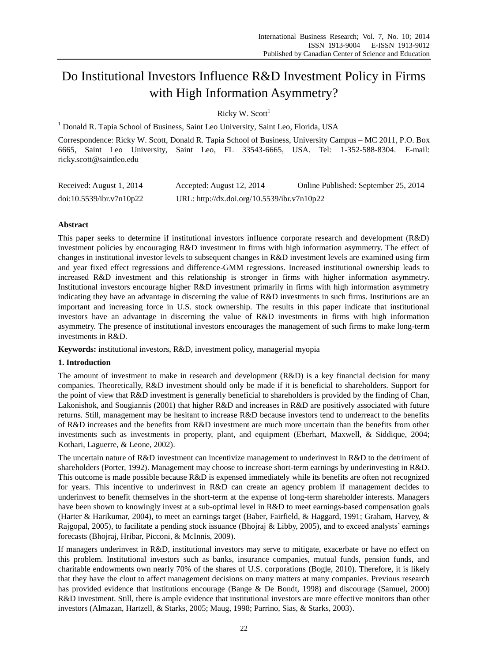# Do Institutional Investors Influence R&D Investment Policy in Firms with High Information Asymmetry?

Ricky W. Scott<sup>1</sup>

<sup>1</sup> Donald R. Tapia School of Business, Saint Leo University, Saint Leo, Florida, USA

Correspondence: Ricky W. Scott, Donald R. Tapia School of Business, University Campus – MC 2011, P.O. Box 6665, Saint Leo University, Saint Leo, FL 33543-6665, USA. Tel: 1-352-588-8304. E-mail: ricky.scott@saintleo.edu

| Received: August 1, 2014 | Accepted: August 12, 2014                   | Online Published: September 25, 2014 |
|--------------------------|---------------------------------------------|--------------------------------------|
| doi:10.5539/ibr.v7n10p22 | URL: http://dx.doi.org/10.5539/ibr.v7n10p22 |                                      |

# **Abstract**

This paper seeks to determine if institutional investors influence corporate research and development (R&D) investment policies by encouraging R&D investment in firms with high information asymmetry. The effect of changes in institutional investor levels to subsequent changes in R&D investment levels are examined using firm and year fixed effect regressions and difference-GMM regressions. Increased institutional ownership leads to increased R&D investment and this relationship is stronger in firms with higher information asymmetry. Institutional investors encourage higher R&D investment primarily in firms with high information asymmetry indicating they have an advantage in discerning the value of R&D investments in such firms. Institutions are an important and increasing force in U.S. stock ownership. The results in this paper indicate that institutional investors have an advantage in discerning the value of R&D investments in firms with high information asymmetry. The presence of institutional investors encourages the management of such firms to make long-term investments in R&D.

**Keywords:** institutional investors, R&D, investment policy, managerial myopia

## **1. Introduction**

The amount of investment to make in research and development (R&D) is a key financial decision for many companies. Theoretically, R&D investment should only be made if it is beneficial to shareholders. Support for the point of view that R&D investment is generally beneficial to shareholders is provided by the finding of Chan, Lakonishok, and Sougiannis (2001) that higher R&D and increases in R&D are positively associated with future returns. Still, management may be hesitant to increase R&D because investors tend to underreact to the benefits of R&D increases and the benefits from R&D investment are much more uncertain than the benefits from other investments such as investments in property, plant, and equipment (Eberhart, Maxwell, & Siddique, 2004; Kothari, Laguerre, & Leone, 2002).

The uncertain nature of R&D investment can incentivize management to underinvest in R&D to the detriment of shareholders (Porter, 1992). Management may choose to increase short-term earnings by underinvesting in R&D. This outcome is made possible because R&D is expensed immediately while its benefits are often not recognized for years. This incentive to underinvest in R&D can create an agency problem if management decides to underinvest to benefit themselves in the short-term at the expense of long-term shareholder interests. Managers have been shown to knowingly invest at a sub-optimal level in R&D to meet earnings-based compensation goals (Harter & Harikumar, 2004), to meet an earnings target (Baber, Fairfield, & Haggard, 1991; Graham, Harvey, & Rajgopal, 2005), to facilitate a pending stock issuance (Bhojraj & Libby, 2005), and to exceed analysts' earnings forecasts (Bhojraj, Hribar, Picconi, & McInnis, 2009).

If managers underinvest in R&D, institutional investors may serve to mitigate, exacerbate or have no effect on this problem. Institutional investors such as banks, insurance companies, mutual funds, pension funds, and charitable endowments own nearly 70% of the shares of U.S. corporations (Bogle, 2010). Therefore, it is likely that they have the clout to affect management decisions on many matters at many companies. Previous research has provided evidence that institutions encourage (Bange & De Bondt, 1998) and discourage (Samuel, 2000) R&D investment. Still, there is ample evidence that institutional investors are more effective monitors than other investors (Almazan, Hartzell, & Starks, 2005; Maug, 1998; Parrino, Sias, & Starks, 2003).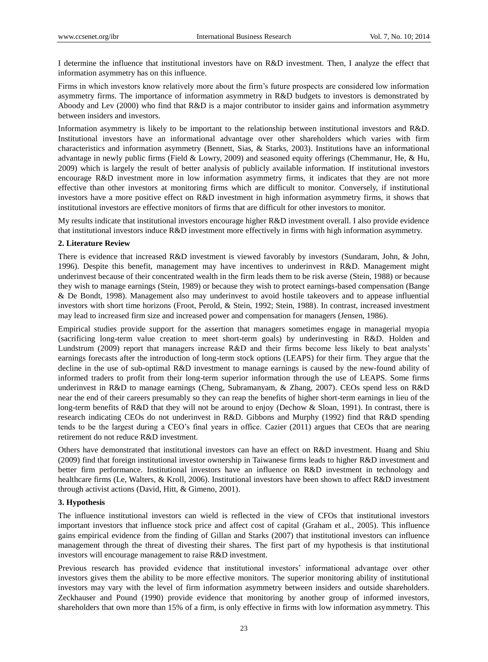I determine the influence that institutional investors have on R&D investment. Then, I analyze the effect that information asymmetry has on this influence.

Firms in which investors know relatively more about the firm's future prospects are considered low information asymmetry firms. The importance of information asymmetry in R&D budgets to investors is demonstrated by Aboody and Lev (2000) who find that R&D is a major contributor to insider gains and information asymmetry between insiders and investors.

Information asymmetry is likely to be important to the relationship between institutional investors and R&D. Institutional investors have an informational advantage over other shareholders which varies with firm characteristics and information asymmetry (Bennett, Sias, & Starks, 2003). Institutions have an informational advantage in newly public firms (Field & Lowry, 2009) and seasoned equity offerings (Chemmanur, He, & Hu, 2009) which is largely the result of better analysis of publicly available information. If institutional investors encourage R&D investment more in low information asymmetry firms, it indicates that they are not more effective than other investors at monitoring firms which are difficult to monitor. Conversely, if institutional investors have a more positive effect on R&D investment in high information asymmetry firms, it shows that institutional investors are effective monitors of firms that are difficult for other investors to monitor.

My results indicate that institutional investors encourage higher R&D investment overall. I also provide evidence that institutional investors induce R&D investment more effectively in firms with high information asymmetry.

## **2. Literature Review**

There is evidence that increased R&D investment is viewed favorably by investors (Sundaram, John, & John, 1996). Despite this benefit, management may have incentives to underinvest in R&D. Management might underinvest because of their concentrated wealth in the firm leads them to be risk averse (Stein, 1988) or because they wish to manage earnings (Stein, 1989) or because they wish to protect earnings-based compensation (Bange & De Bondt, 1998). Management also may underinvest to avoid hostile takeovers and to appease influential investors with short time horizons (Froot, Perold, & Stein, 1992; Stein, 1988). In contrast, increased investment may lead to increased firm size and increased power and compensation for managers (Jensen, 1986).

Empirical studies provide support for the assertion that managers sometimes engage in managerial myopia (sacrificing long-term value creation to meet short-term goals) by underinvesting in R&D. Holden and Lundstrum (2009) report that managers increase R&D and their firms become less likely to beat analysts' earnings forecasts after the introduction of long-term stock options (LEAPS) for their firm. They argue that the decline in the use of sub-optimal R&D investment to manage earnings is caused by the new-found ability of informed traders to profit from their long-term superior information through the use of LEAPS. Some firms underinvest in R&D to manage earnings (Cheng, Subramanyam, & Zhang, 2007). CEOs spend less on R&D near the end of their careers presumably so they can reap the benefits of higher short-term earnings in lieu of the long-term benefits of R&D that they will not be around to enjoy (Dechow & Sloan, 1991). In contrast, there is research indicating CEOs do not underinvest in R&D. Gibbons and Murphy (1992) find that R&D spending tends to be the largest during a CEO's final years in office. Cazier (2011) argues that CEOs that are nearing retirement do not reduce R&D investment.

Others have demonstrated that institutional investors can have an effect on R&D investment. Huang and Shiu (2009) find that foreign institutional investor ownership in Taiwanese firms leads to higher R&D investment and better firm performance. Institutional investors have an influence on R&D investment in technology and healthcare firms (Le, Walters, & Kroll, 2006). Institutional investors have been shown to affect R&D investment through activist actions (David, Hitt, & Gimeno, 2001).

#### **3. Hypothesis**

The influence institutional investors can wield is reflected in the view of CFOs that institutional investors important investors that influence stock price and affect cost of capital (Graham et al., 2005). This influence gains empirical evidence from the finding of Gillan and Starks (2007) that institutional investors can influence management through the threat of divesting their shares. The first part of my hypothesis is that institutional investors will encourage management to raise R&D investment.

Previous research has provided evidence that institutional investors' informational advantage over other investors gives them the ability to be more effective monitors. The superior monitoring ability of institutional investors may vary with the level of firm information asymmetry between insiders and outside shareholders. Zeckhauser and Pound (1990) provide evidence that monitoring by another group of informed investors, shareholders that own more than 15% of a firm, is only effective in firms with low information asymmetry. This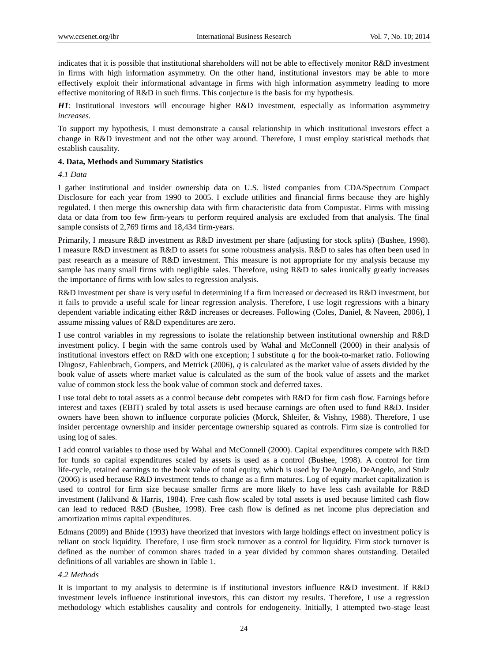indicates that it is possible that institutional shareholders will not be able to effectively monitor R&D investment in firms with high information asymmetry. On the other hand, institutional investors may be able to more effectively exploit their informational advantage in firms with high information asymmetry leading to more effective monitoring of R&D in such firms. This conjecture is the basis for my hypothesis.

*H1*: Institutional investors will encourage higher R&D investment, especially as information asymmetry *increases*.

To support my hypothesis, I must demonstrate a causal relationship in which institutional investors effect a change in R&D investment and not the other way around. Therefore, I must employ statistical methods that establish causality.

# **4. Data, Methods and Summary Statistics**

## *4.1 Data*

I gather institutional and insider ownership data on U.S. listed companies from CDA/Spectrum Compact Disclosure for each year from 1990 to 2005. I exclude utilities and financial firms because they are highly regulated. I then merge this ownership data with firm characteristic data from Compustat. Firms with missing data or data from too few firm-years to perform required analysis are excluded from that analysis. The final sample consists of 2,769 firms and 18,434 firm-years.

Primarily, I measure R&D investment as R&D investment per share (adjusting for stock splits) (Bushee, 1998). I measure R&D investment as R&D to assets for some robustness analysis. R&D to sales has often been used in past research as a measure of R&D investment. This measure is not appropriate for my analysis because my sample has many small firms with negligible sales. Therefore, using R&D to sales ironically greatly increases the importance of firms with low sales to regression analysis.

R&D investment per share is very useful in determining if a firm increased or decreased its R&D investment, but it fails to provide a useful scale for linear regression analysis. Therefore, I use logit regressions with a binary dependent variable indicating either R&D increases or decreases. Following (Coles, Daniel, & Naveen, 2006), I assume missing values of R&D expenditures are zero.

I use control variables in my regressions to isolate the relationship between institutional ownership and R&D investment policy. I begin with the same controls used by Wahal and McConnell (2000) in their analysis of institutional investors effect on R&D with one exception; I substitute *q* for the book-to-market ratio. Following Dlugosz, Fahlenbrach, Gompers, and Metrick (2006), *q* is calculated as the market value of assets divided by the book value of assets where market value is calculated as the sum of the book value of assets and the market value of common stock less the book value of common stock and deferred taxes.

I use total debt to total assets as a control because debt competes with R&D for firm cash flow. Earnings before interest and taxes (EBIT) scaled by total assets is used because earnings are often used to fund R&D. Insider owners have been shown to influence corporate policies (Morck, Shleifer, & Vishny, 1988). Therefore, I use insider percentage ownership and insider percentage ownership squared as controls. Firm size is controlled for using log of sales.

I add control variables to those used by Wahal and McConnell (2000). Capital expenditures compete with R&D for funds so capital expenditures scaled by assets is used as a control (Bushee, 1998). A control for firm life-cycle, retained earnings to the book value of total equity, which is used by DeAngelo, DeAngelo, and Stulz (2006) is used because R&D investment tends to change as a firm matures. Log of equity market capitalization is used to control for firm size because smaller firms are more likely to have less cash available for R&D investment (Jalilvand & Harris, 1984). Free cash flow scaled by total assets is used because limited cash flow can lead to reduced R&D (Bushee, 1998). Free cash flow is defined as net income plus depreciation and amortization minus capital expenditures.

Edmans (2009) and Bhide (1993) have theorized that investors with large holdings effect on investment policy is reliant on stock liquidity. Therefore, I use firm stock turnover as a control for liquidity. Firm stock turnover is defined as the number of common shares traded in a year divided by common shares outstanding. Detailed definitions of all variables are shown in Table 1.

## *4.2 Methods*

It is important to my analysis to determine is if institutional investors influence R&D investment. If R&D investment levels influence institutional investors, this can distort my results. Therefore, I use a regression methodology which establishes causality and controls for endogeneity. Initially, I attempted two-stage least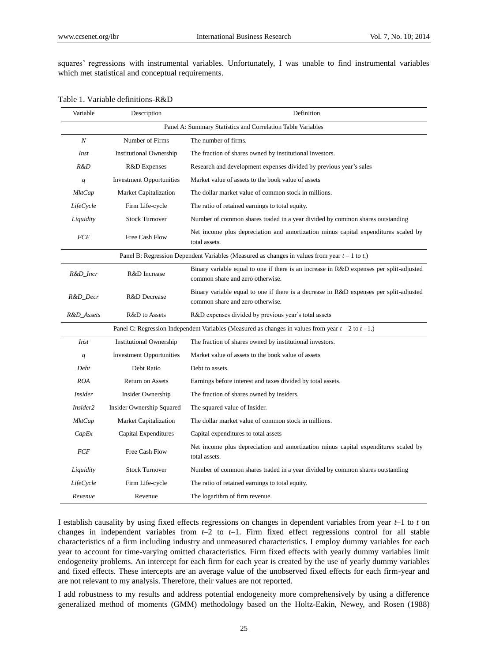squares' regressions with instrumental variables. Unfortunately, I was unable to find instrumental variables which met statistical and conceptual requirements.

|  | Table 1. Variable definitions-R&D |
|--|-----------------------------------|
|--|-----------------------------------|

| Variable         | Description                                                                                              | Definition                                                                                                                  |  |  |  |  |  |
|------------------|----------------------------------------------------------------------------------------------------------|-----------------------------------------------------------------------------------------------------------------------------|--|--|--|--|--|
|                  | Panel A: Summary Statistics and Correlation Table Variables                                              |                                                                                                                             |  |  |  |  |  |
| N                | Number of Firms                                                                                          | The number of firms.                                                                                                        |  |  |  |  |  |
| Inst             | <b>Institutional Ownership</b>                                                                           | The fraction of shares owned by institutional investors.                                                                    |  |  |  |  |  |
| R&D              | R&D Expenses                                                                                             | Research and development expenses divided by previous year's sales                                                          |  |  |  |  |  |
| q                | <b>Investment Opportunities</b>                                                                          | Market value of assets to the book value of assets                                                                          |  |  |  |  |  |
| <b>MktCap</b>    | Market Capitalization                                                                                    | The dollar market value of common stock in millions.                                                                        |  |  |  |  |  |
| <i>LifeCycle</i> | Firm Life-cycle                                                                                          | The ratio of retained earnings to total equity.                                                                             |  |  |  |  |  |
| Liquidity        | <b>Stock Turnover</b>                                                                                    | Number of common shares traded in a year divided by common shares outstanding                                               |  |  |  |  |  |
| <b>FCF</b>       | Free Cash Flow                                                                                           | Net income plus depreciation and amortization minus capital expenditures scaled by<br>total assets.                         |  |  |  |  |  |
|                  |                                                                                                          | Panel B: Regression Dependent Variables (Measured as changes in values from year $t-1$ to t.)                               |  |  |  |  |  |
| R&D_Incr         | R&D Increase                                                                                             | Binary variable equal to one if there is an increase in R&D expenses per split-adjusted<br>common share and zero otherwise. |  |  |  |  |  |
| R&D_Decr         | R&D Decrease                                                                                             | Binary variable equal to one if there is a decrease in R&D expenses per split-adjusted<br>common share and zero otherwise.  |  |  |  |  |  |
| R&D_Assets       | R&D to Assets                                                                                            | R&D expenses divided by previous year's total assets                                                                        |  |  |  |  |  |
|                  | Panel C: Regression Independent Variables (Measured as changes in values from year $t - 2$ to $t - 1$ .) |                                                                                                                             |  |  |  |  |  |
| Inst             | <b>Institutional Ownership</b>                                                                           | The fraction of shares owned by institutional investors.                                                                    |  |  |  |  |  |
| $\boldsymbol{q}$ | <b>Investment Opportunities</b>                                                                          | Market value of assets to the book value of assets                                                                          |  |  |  |  |  |
| Debt             | Debt Ratio                                                                                               | Debt to assets.                                                                                                             |  |  |  |  |  |
| ROA              | Return on Assets                                                                                         | Earnings before interest and taxes divided by total assets.                                                                 |  |  |  |  |  |
| <i>Insider</i>   | Insider Ownership                                                                                        | The fraction of shares owned by insiders.                                                                                   |  |  |  |  |  |
| Insider2         | Insider Ownership Squared                                                                                | The squared value of Insider.                                                                                               |  |  |  |  |  |
| <b>MktCap</b>    | Market Capitalization                                                                                    | The dollar market value of common stock in millions.                                                                        |  |  |  |  |  |
| CapEx            | Capital Expenditures                                                                                     | Capital expenditures to total assets                                                                                        |  |  |  |  |  |
| <b>FCF</b>       | Free Cash Flow                                                                                           | Net income plus depreciation and amortization minus capital expenditures scaled by<br>total assets.                         |  |  |  |  |  |
| Liquidity        | <b>Stock Turnover</b>                                                                                    | Number of common shares traded in a year divided by common shares outstanding                                               |  |  |  |  |  |
| <i>LifeCycle</i> | Firm Life-cycle                                                                                          | The ratio of retained earnings to total equity.                                                                             |  |  |  |  |  |
| Revenue          | Revenue                                                                                                  | The logarithm of firm revenue.                                                                                              |  |  |  |  |  |

I establish causality by using fixed effects regressions on changes in dependent variables from year *t*–1 to *t* on changes in independent variables from *t*–2 to *t*–1. Firm fixed effect regressions control for all stable characteristics of a firm including industry and unmeasured characteristics. I employ dummy variables for each year to account for time-varying omitted characteristics. Firm fixed effects with yearly dummy variables limit endogeneity problems. An intercept for each firm for each year is created by the use of yearly dummy variables and fixed effects. These intercepts are an average value of the unobserved fixed effects for each firm-year and are not relevant to my analysis. Therefore, their values are not reported.

I add robustness to my results and address potential endogeneity more comprehensively by using a difference generalized method of moments (GMM) methodology based on the Holtz-Eakin, Newey, and Rosen (1988)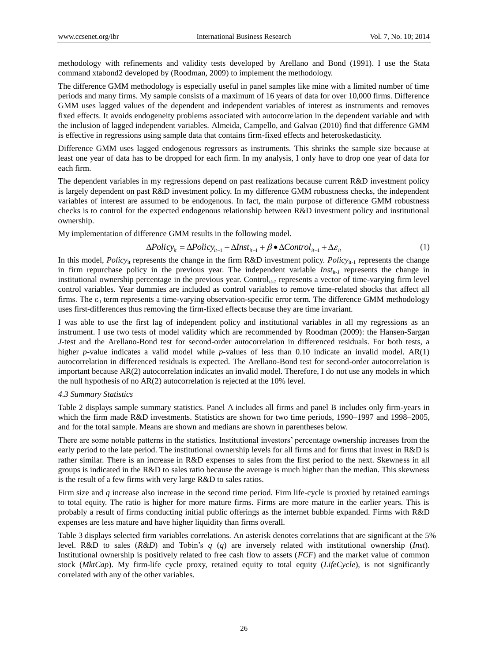methodology with refinements and validity tests developed by Arellano and Bond (1991). I use the Stata command xtabond2 developed by (Roodman, 2009) to implement the methodology.

The difference GMM methodology is especially useful in panel samples like mine with a limited number of time periods and many firms. My sample consists of a maximum of 16 years of data for over 10,000 firms. Difference GMM uses lagged values of the dependent and independent variables of interest as instruments and removes fixed effects. It avoids endogeneity problems associated with autocorrelation in the dependent variable and with the inclusion of lagged independent variables. Almeida, Campello, and Galvao (2010) find that difference GMM is effective in regressions using sample data that contains firm-fixed effects and heteroskedasticity.

Difference GMM uses lagged endogenous regressors as instruments. This shrinks the sample size because at least one year of data has to be dropped for each firm. In my analysis, I only have to drop one year of data for each firm.

The dependent variables in my regressions depend on past realizations because current R&D investment policy is largely dependent on past R&D investment policy. In my difference GMM robustness checks, the independent variables of interest are assumed to be endogenous. In fact, the main purpose of difference GMM robustness checks is to control for the expected endogenous relationship between R&D investment policy and institutional ownership.

My implementation of difference GMM results in the following model.

$$
\Delta Policy_{it} = \Delta Policy_{it-1} + \Delta Inst_{it-1} + \beta \bullet \Delta Control_{it-1} + \Delta \varepsilon_{it} \tag{1}
$$

In this model, *Policy*<sub>it</sub> represents the change in the firm R&D investment policy. *Policy*<sub>it-1</sub> represents the change in firm repurchase policy in the previous year. The independent variable *Inst*i*t-1* represents the change in institutional ownership percentage in the previous year. Controli*t-1* represents a vector of time-varying firm level control variables. Year dummies are included as control variables to remove time-related shocks that affect all firms. The  $\varepsilon_{it}$  term represents a time-varying observation-specific error term. The difference GMM methodology uses first-differences thus removing the firm-fixed effects because they are time invariant.

I was able to use the first lag of independent policy and institutional variables in all my regressions as an instrument. I use two tests of model validity which are recommended by Roodman (2009): the Hansen-Sargan *J*-test and the Arellano-Bond test for second-order autocorrelation in differenced residuals. For both tests, a higher *p*-value indicates a valid model while *p*-values of less than 0.10 indicate an invalid model. AR(1) autocorrelation in differenced residuals is expected. The Arellano-Bond test for second-order autocorrelation is important because AR(2) autocorrelation indicates an invalid model. Therefore, I do not use any models in which the null hypothesis of no AR(2) autocorrelation is rejected at the 10% level.

## *4.3 Summary Statistics*

Table 2 displays sample summary statistics. Panel A includes all firms and panel B includes only firm-years in which the firm made R&D investments. Statistics are shown for two time periods, 1990–1997 and 1998–2005, and for the total sample. Means are shown and medians are shown in parentheses below.

There are some notable patterns in the statistics. Institutional investors' percentage ownership increases from the early period to the late period. The institutional ownership levels for all firms and for firms that invest in R&D is rather similar. There is an increase in R&D expenses to sales from the first period to the next. Skewness in all groups is indicated in the R&D to sales ratio because the average is much higher than the median. This skewness is the result of a few firms with very large R&D to sales ratios.

Firm size and *q* increase also increase in the second time period. Firm life-cycle is proxied by retained earnings to total equity. The ratio is higher for more mature firms. Firms are more mature in the earlier years. This is probably a result of firms conducting initial public offerings as the internet bubble expanded. Firms with R&D expenses are less mature and have higher liquidity than firms overall.

Table 3 displays selected firm variables correlations. An asterisk denotes correlations that are significant at the 5% level. R&D to sales (*R&D*) and Tobin's *q* (*q*) are inversely related with institutional ownership (*Inst*). Institutional ownership is positively related to free cash flow to assets (*FCF*) and the market value of common stock (*MktCap*). My firm-life cycle proxy, retained equity to total equity (*LifeCycle*), is not significantly correlated with any of the other variables.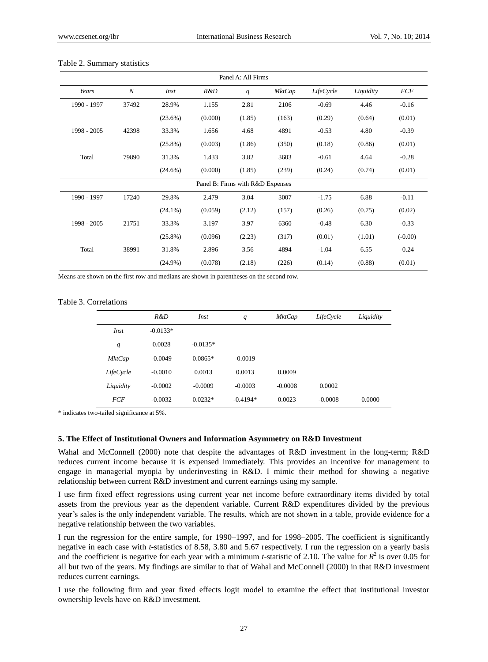| Panel A: All Firms |                  |             |         |                                  |               |           |           |            |
|--------------------|------------------|-------------|---------|----------------------------------|---------------|-----------|-----------|------------|
| Years              | $\boldsymbol{N}$ | <i>Inst</i> | R&D     | q                                | <b>MktCap</b> | LifeCycle | Liquidity | <b>FCF</b> |
| 1990 - 1997        | 37492            | 28.9%       | 1.155   | 2.81                             | 2106          | $-0.69$   | 4.46      | $-0.16$    |
|                    |                  | (23.6%)     | (0.000) | (1.85)                           | (163)         | (0.29)    | (0.64)    | (0.01)     |
| 1998 - 2005        | 42398            | 33.3%       | 1.656   | 4.68                             | 4891          | $-0.53$   | 4.80      | $-0.39$    |
|                    |                  | $(25.8\%)$  | (0.003) | (1.86)                           | (350)         | (0.18)    | (0.86)    | (0.01)     |
| Total              | 79890            | 31.3%       | 1.433   | 3.82                             | 3603          | $-0.61$   | 4.64      | $-0.28$    |
|                    |                  | $(24.6\%)$  | (0.000) | (1.85)                           | (239)         | (0.24)    | (0.74)    | (0.01)     |
|                    |                  |             |         | Panel B: Firms with R&D Expenses |               |           |           |            |
| 1990 - 1997        | 17240            | 29.8%       | 2.479   | 3.04                             | 3007          | $-1.75$   | 6.88      | $-0.11$    |
|                    |                  | $(24.1\%)$  | (0.059) | (2.12)                           | (157)         | (0.26)    | (0.75)    | (0.02)     |
| $1998 - 2005$      | 21751            | 33.3%       | 3.197   | 3.97                             | 6360          | $-0.48$   | 6.30      | $-0.33$    |
|                    |                  | $(25.8\%)$  | (0.096) | (2.23)                           | (317)         | (0.01)    | (1.01)    | $(-0.00)$  |
| Total              | 38991            | 31.8%       | 2.896   | 3.56                             | 4894          | $-1.04$   | 6.55      | $-0.24$    |
|                    |                  | $(24.9\%)$  | (0.078) | (2.18)                           | (226)         | (0.14)    | (0.88)    | (0.01)     |

#### Table 2. Summary statistics

Means are shown on the first row and medians are shown in parentheses on the second row.

#### Table 3. Correlations

|               | R&D        | Inst       | q          | <b>MktCap</b> | LifeCycle | Liquidity |
|---------------|------------|------------|------------|---------------|-----------|-----------|
| Inst          | $-0.0133*$ |            |            |               |           |           |
| q             | 0.0028     | $-0.0135*$ |            |               |           |           |
| <b>MktCap</b> | $-0.0049$  | $0.0865*$  | $-0.0019$  |               |           |           |
| LifeCycle     | $-0.0010$  | 0.0013     | 0.0013     | 0.0009        |           |           |
| Liquidity     | $-0.0002$  | $-0.0009$  | $-0.0003$  | $-0.0008$     | 0.0002    |           |
| <b>FCF</b>    | $-0.0032$  | $0.0232*$  | $-0.4194*$ | 0.0023        | $-0.0008$ | 0.0000    |

\* indicates two-tailed significance at 5%.

#### **5. The Effect of Institutional Owners and Information Asymmetry on R&D Investment**

Wahal and McConnell (2000) note that despite the advantages of R&D investment in the long-term; R&D reduces current income because it is expensed immediately. This provides an incentive for management to engage in managerial myopia by underinvesting in R&D. I mimic their method for showing a negative relationship between current R&D investment and current earnings using my sample.

I use firm fixed effect regressions using current year net income before extraordinary items divided by total assets from the previous year as the dependent variable. Current R&D expenditures divided by the previous year's sales is the only independent variable. The results, which are not shown in a table, provide evidence for a negative relationship between the two variables.

I run the regression for the entire sample, for 1990–1997, and for 1998–2005. The coefficient is significantly negative in each case with *t*-statistics of 8.58, 3.80 and 5.67 respectively. I run the regression on a yearly basis and the coefficient is negative for each year with a minimum *t*-statistic of 2.10. The value for  $R^2$  is over 0.05 for all but two of the years. My findings are similar to that of Wahal and McConnell (2000) in that R&D investment reduces current earnings.

I use the following firm and year fixed effects logit model to examine the effect that institutional investor ownership levels have on R&D investment.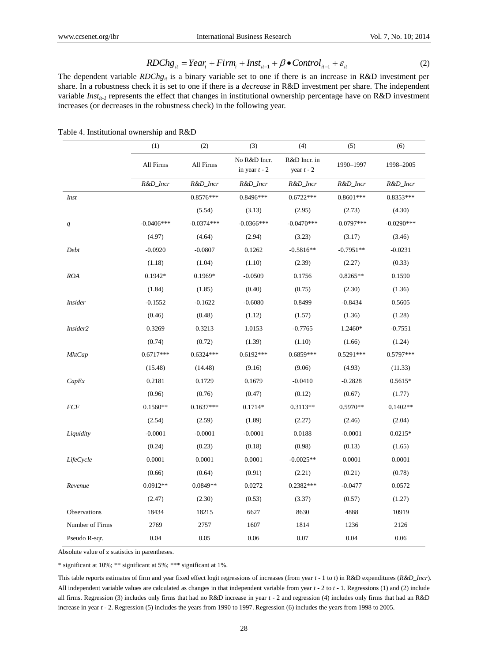$$
RDChg_{it} = Year_t + Firm_t + Inst_{it-1} + \beta \bullet Control_{it-1} + \varepsilon_{it}
$$
\n(2)

The dependent variable  $RDChg_{ii}$  is a binary variable set to one if there is an increase in R&D investment per share. In a robustness check it is set to one if there is a *decrease* in R&D investment per share. The independent variable *Instit-1* represents the effect that changes in institutional ownership percentage have on R&D investment increases (or decreases in the robustness check) in the following year.

(1)  $(2)$   $(3)$   $(4)$   $(5)$   $(6)$ All Firms All Firms No R&D Incr. in year *t* - 2 R&D Incr. in year *t* - 2 1990–1997 1998–2005 *R&D\_Incr R&D\_Incr R&D\_Incr R&D\_Incr R&D\_Incr R&D\_Incr Inst* 0.8576\*\*\* 0.8496\*\*\* 0.6722\*\*\* 0.8601\*\*\* 0.8353\*\*\*  $(5.54)$   $(3.13)$   $(2.95)$   $(2.73)$   $(4.30)$ *q* -0.0406\*\*\* -0.0374\*\*\* -0.0366\*\*\* -0.0470\*\*\* -0.0797\*\*\* -0.0290\*\*\*  $(4.97)$   $(4.64)$   $(2.94)$   $(3.23)$   $(3.17)$   $(3.46)$ *Debt* -0.0920 -0.0807 0.1262 -0.5816\*\* -0.7951\*\* -0.0231  $(1.18)$   $(1.04)$   $(1.10)$   $(2.39)$   $(2.27)$   $(0.33)$ *ROA* 0.1942\* 0.1969\* -0.0509 0.1756 0.8265\*\* 0.1590  $(1.84)$   $(1.85)$   $(0.40)$   $(0.75)$   $(2.30)$   $(1.36)$ *Insider* -0.1552 -0.1622 -0.6080 0.8499 -0.8434 0.5605  $(0.46)$   $(0.48)$   $(1.12)$   $(1.57)$   $(1.36)$   $(1.28)$ *Insider2* 0.3269 0.3213 1.0153 -0.7765 1.2460\* -0.7551  $(0.74)$   $(0.72)$   $(1.39)$   $(1.10)$   $(1.66)$   $(1.24)$ *MktCap* 0.6717\*\*\* 0.6324\*\*\* 0.6192\*\*\* 0.6859\*\*\* 0.5291\*\*\* 0.5797\*\*\*  $(15.48)$   $(14.48)$   $(9.16)$   $(9.06)$   $(4.93)$   $(11.33)$ *CapEx* 0.2181 0.1729 0.1679 -0.0410 -0.2828 0.5615\*  $(0.96)$   $(0.76)$   $(0.47)$   $(0.12)$   $(0.67)$   $(1.77)$ *FCF* 0.1560\*\* 0.1637\*\*\* 0.1714\* 0.3113\*\* 0.5970\*\* 0.1402\*\*  $(2.54)$   $(2.59)$   $(1.89)$   $(2.27)$   $(2.46)$   $(2.04)$ *Liquidity* -0.0001 -0.0001 -0.0001 0.0188 -0.0001 0.0215\*  $(0.24)$   $(0.23)$   $(0.18)$   $(0.98)$   $(0.13)$   $(1.65)$ *LifeCycle* 0.0001 0.0001 0.0001 -0.0025\*\* 0.0001 0.0001  $(0.66)$   $(0.64)$   $(0.91)$   $(2.21)$   $(0.21)$   $(0.78)$ *Revenue* 0.0912\*\* 0.0849\*\* 0.0272 0.2382\*\*\* -0.0477 0.0572  $(2.47)$   $(2.30)$   $(0.53)$   $(3.37)$   $(0.57)$   $(1.27)$ Observations 18434 18215 6627 8630 4888 10919 Number of Firms 2769 2757 1607 1814 1236 2126 Pseudo R-sqr. 0.04 0.05 0.06 0.07 0.04 0.06

Table 4. Institutional ownership and R&D

Absolute value of z statistics in parentheses.

\* significant at 10%; \*\* significant at 5%; \*\*\* significant at 1%.

This table reports estimates of firm and year fixed effect logit regressions of increases (from year *t* - 1 to *t*) in R&D expenditures (*R&D\_Incr*). All independent variable values are calculated as changes in that independent variable from year *t* - 2 to *t* - 1. Regressions (1) and (2) include all firms. Regression (3) includes only firms that had no R&D increase in year *t* - 2 and regression (4) includes only firms that had an R&D increase in year *t* - 2. Regression (5) includes the years from 1990 to 1997. Regression (6) includes the years from 1998 to 2005.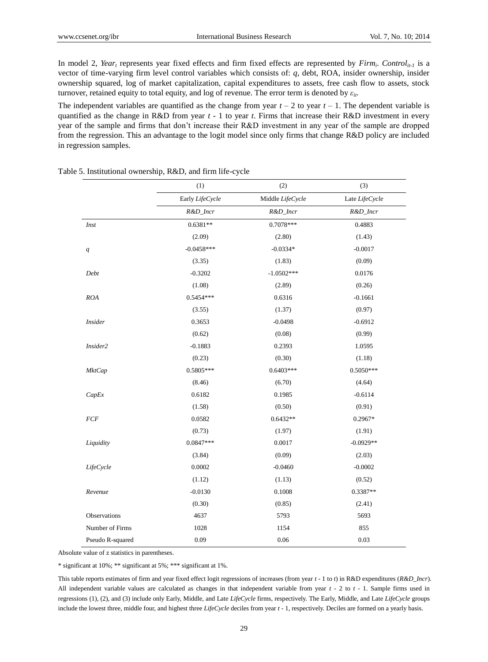In model 2, *Year<sup>t</sup>* represents year fixed effects and firm fixed effects are represented by *Firm<sup>i</sup>* . *Controlit-1* is a vector of time-varying firm level control variables which consists of: *q*, debt, ROA, insider ownership, insider ownership squared, log of market capitalization, capital expenditures to assets, free cash flow to assets, stock turnover, retained equity to total equity, and log of revenue. The error term is denoted by *εit*.

The independent variables are quantified as the change from year  $t - 2$  to year  $t - 1$ . The dependent variable is quantified as the change in R&D from year *t* - 1 to year *t*. Firms that increase their R&D investment in every year of the sample and firms that don't increase their R&D investment in any year of the sample are dropped from the regression. This an advantage to the logit model since only firms that change R&D policy are included in regression samples.

|                  | (1)                 | (2)              | (3)                           |  |
|------------------|---------------------|------------------|-------------------------------|--|
|                  | Early LifeCycle     | Middle LifeCycle | Late LifeCycle                |  |
|                  | $R&D_{\text{Incr}}$ | R&D_Incr         | $R&D_{\text{--}}$ <i>Incr</i> |  |
| Inst             | $0.6381**$          | $0.7078***$      | 0.4883                        |  |
|                  | (2.09)              | (2.80)           | (1.43)                        |  |
| $\boldsymbol{q}$ | $-0.0458***$        | $-0.0334*$       | $-0.0017$                     |  |
|                  | (3.35)              | (1.83)           | (0.09)                        |  |
| Debt             | $-0.3202$           | $-1.0502***$     | 0.0176                        |  |
|                  | (1.08)              | (2.89)           | (0.26)                        |  |
| <b>ROA</b>       | $0.5454***$         | 0.6316           | $-0.1661$                     |  |
|                  | (3.55)              | (1.37)           | (0.97)                        |  |
| <b>Insider</b>   | 0.3653              | $-0.0498$        | $-0.6912$                     |  |
|                  | (0.62)              | (0.08)           | (0.99)                        |  |
| Insider2         | $-0.1883$           | 0.2393           | 1.0595                        |  |
|                  | (0.23)              | (0.30)           | (1.18)                        |  |
| <b>MktCap</b>    | $0.5805***$         | $0.6403***$      | $0.5050***$                   |  |
|                  | (8.46)              | (6.70)           | (4.64)                        |  |
| CapEx            | 0.6182              | 0.1985           | $-0.6114$                     |  |
|                  | (1.58)              | (0.50)           | (0.91)                        |  |
| <b>FCF</b>       | 0.0582              | $0.6432**$       | $0.2967*$                     |  |
|                  | (0.73)              | (1.97)           | (1.91)                        |  |
| Liquidity        | $0.0847***$         | 0.0017           | $-0.0929**$                   |  |
|                  | (3.84)              | (0.09)           | (2.03)                        |  |
| LifeCycle        | 0.0002              | $-0.0460$        | $-0.0002$                     |  |
|                  | (1.12)              | (1.13)           | (0.52)                        |  |
| Revenue          | $-0.0130$           | 0.1008           | $0.3387**$                    |  |
|                  | (0.30)              | (0.85)           | (2.41)                        |  |
| Observations     | 4637                | 5793             | 5693                          |  |
| Number of Firms  | 1028                | 1154             | 855                           |  |
| Pseudo R-squared | 0.09                | 0.06             | 0.03                          |  |

Table 5. Institutional ownership, R&D, and firm life-cycle

Absolute value of z statistics in parentheses.

\* significant at 10%; \*\* significant at 5%; \*\*\* significant at 1%.

This table reports estimates of firm and year fixed effect logit regressions of increases (from year *t* - 1 to *t*) in R&D expenditures (*R&D\_Incr*). All independent variable values are calculated as changes in that independent variable from year *t* - 2 to *t* - 1. Sample firms used in regressions (1), (2), and (3) include only Early, Middle, and Late *LifeCycle* firms, respectively. The Early, Middle, and Late *LifeCycle* groups include the lowest three, middle four, and highest three *LifeCycle* deciles from year *t* - 1, respectively. Deciles are formed on a yearly basis.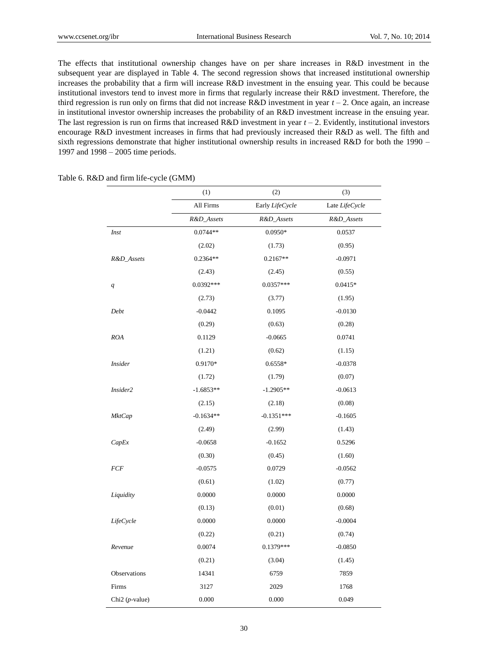The effects that institutional ownership changes have on per share increases in R&D investment in the subsequent year are displayed in Table 4. The second regression shows that increased institutional ownership increases the probability that a firm will increase R&D investment in the ensuing year. This could be because institutional investors tend to invest more in firms that regularly increase their R&D investment. Therefore, the third regression is run only on firms that did not increase R&D investment in year *t* – 2. Once again, an increase in institutional investor ownership increases the probability of an R&D investment increase in the ensuing year. The last regression is run on firms that increased R&D investment in year *t* – 2. Evidently, institutional investors encourage R&D investment increases in firms that had previously increased their R&D as well. The fifth and sixth regressions demonstrate that higher institutional ownership results in increased R&D for both the 1990 – 1997 and 1998 – 2005 time periods.

Table 6. R&D and firm life-cycle (GMM)

|                                | (1)<br>(2)  |                 | (3)            |  |
|--------------------------------|-------------|-----------------|----------------|--|
|                                | All Firms   | Early LifeCycle | Late LifeCycle |  |
|                                | R&D_Assets  | R&D_Assets      | R&D_Assets     |  |
| Inst                           | $0.0744**$  | 0.0950*         | 0.0537         |  |
|                                | (2.02)      | (1.73)          | (0.95)         |  |
| R&D_Assets                     | $0.2364**$  | $0.2167**$      | $-0.0971$      |  |
|                                | (2.43)      | (2.45)          | (0.55)         |  |
| q                              | $0.0392***$ | $0.0357***$     | $0.0415*$      |  |
|                                | (2.73)      | (3.77)          | (1.95)         |  |
| Debt                           | $-0.0442$   | 0.1095          | $-0.0130$      |  |
|                                | (0.29)      | (0.63)          | (0.28)         |  |
| ROA                            | 0.1129      | $-0.0665$       | 0.0741         |  |
|                                | (1.21)      | (0.62)          | (1.15)         |  |
| <i>Insider</i>                 | 0.9170*     | $0.6558*$       | $-0.0378$      |  |
|                                | (1.72)      | (1.79)          | (0.07)         |  |
| Insider2                       | $-1.6853**$ | $-1.2905**$     | $-0.0613$      |  |
|                                | (2.15)      | (2.18)          | (0.08)         |  |
| <b>MktCap</b>                  | $-0.1634**$ | $-0.1351***$    | $-0.1605$      |  |
|                                | (2.49)      | (2.99)          | (1.43)         |  |
| CapEx                          | $-0.0658$   | $-0.1652$       | 0.5296         |  |
|                                | (0.30)      | (0.45)          | (1.60)         |  |
| <b>FCF</b>                     | $-0.0575$   | 0.0729          | $-0.0562$      |  |
|                                | (0.61)      | (1.02)          | (0.77)         |  |
| Liquidity                      | 0.0000      | 0.0000          | 0.0000         |  |
|                                | (0.13)      | (0.01)          | (0.68)         |  |
| LifeCycle                      | 0.0000      | 0.0000          | $-0.0004$      |  |
|                                | (0.22)      | (0.21)          | (0.74)         |  |
| Revenue                        | 0.0074      | 0.1379***       | $-0.0850$      |  |
|                                | (0.21)      | (3.04)          | (1.45)         |  |
| Observations                   | 14341       | 6759            | 7859           |  |
| Firms                          | 3127        | 2029            | 1768           |  |
| Chi <sub>2</sub> ( $p$ -value) | 0.000       | 0.000           | 0.049          |  |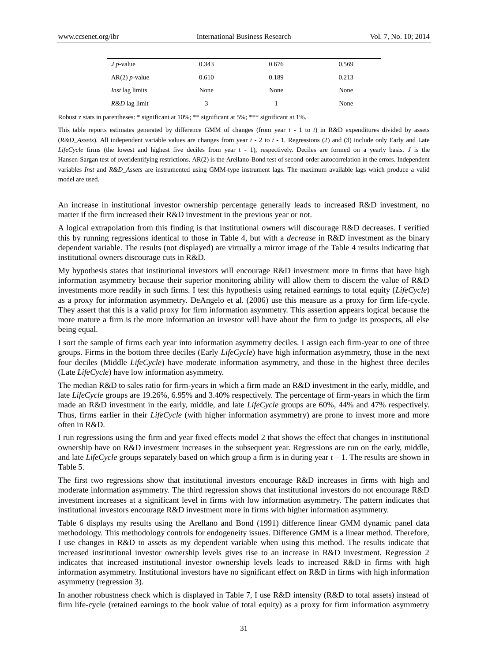| $J$ <i>p</i> -value    | 0.343 | 0.676 | 0.569 |
|------------------------|-------|-------|-------|
| $AR(2) p-value$        | 0.610 | 0.189 | 0.213 |
| <i>Inst</i> lag limits | None  | None  | None  |
| $R&D$ lag limit        | 3     |       | None  |

Robust z stats in parentheses: \* significant at 10%; \*\* significant at 5%; \*\*\* significant at 1%.

This table reports estimates generated by difference GMM of changes (from year *t* - 1 to *t*) in R&D expenditures divided by assets (*R&D\_Assets*). All independent variable values are changes from year *t* - 2 to *t* - 1. Regressions (2) and (3) include only Early and Late *LifeCycle* firms (the lowest and highest five deciles from year t - 1), respectively. Deciles are formed on a yearly basis. *J* is the Hansen-Sargan test of overidentifying restrictions. AR(2) is the Arellano-Bond test of second-order autocorrelation in the errors. Independent variables *Inst* and *R&D\_Assets* are instrumented using GMM-type instrument lags. The maximum available lags which produce a valid model are used.

An increase in institutional investor ownership percentage generally leads to increased R&D investment, no matter if the firm increased their R&D investment in the previous year or not.

A logical extrapolation from this finding is that institutional owners will discourage R&D decreases. I verified this by running regressions identical to those in Table 4, but with a *decrease* in R&D investment as the binary dependent variable. The results (not displayed) are virtually a mirror image of the Table 4 results indicating that institutional owners discourage cuts in R&D.

My hypothesis states that institutional investors will encourage R&D investment more in firms that have high information asymmetry because their superior monitoring ability will allow them to discern the value of R&D investments more readily in such firms. I test this hypothesis using retained earnings to total equity (*LifeCycle*) as a proxy for information asymmetry. DeAngelo et al. (2006) use this measure as a proxy for firm life-cycle. They assert that this is a valid proxy for firm information asymmetry. This assertion appears logical because the more mature a firm is the more information an investor will have about the firm to judge its prospects, all else being equal.

I sort the sample of firms each year into information asymmetry deciles. I assign each firm-year to one of three groups. Firms in the bottom three deciles (Early *LifeCycle*) have high information asymmetry, those in the next four deciles (Middle *LifeCycle*) have moderate information asymmetry, and those in the highest three deciles (Late *LifeCycle*) have low information asymmetry.

The median R&D to sales ratio for firm-years in which a firm made an R&D investment in the early, middle, and late *LifeCycle* groups are 19.26%, 6.95% and 3.40% respectively. The percentage of firm-years in which the firm made an R&D investment in the early, middle, and late *LifeCycle* groups are 60%, 44% and 47% respectively. Thus, firms earlier in their *LifeCycle* (with higher information asymmetry) are prone to invest more and more often in R&D.

I run regressions using the firm and year fixed effects model 2 that shows the effect that changes in institutional ownership have on R&D investment increases in the subsequent year. Regressions are run on the early, middle, and late *LifeCycle* groups separately based on which group a firm is in during year *t* – 1. The results are shown in Table 5.

The first two regressions show that institutional investors encourage R&D increases in firms with high and moderate information asymmetry. The third regression shows that institutional investors do not encourage R&D investment increases at a significant level in firms with low information asymmetry. The pattern indicates that institutional investors encourage R&D investment more in firms with higher information asymmetry.

Table 6 displays my results using the Arellano and Bond (1991) difference linear GMM dynamic panel data methodology. This methodology controls for endogeneity issues. Difference GMM is a linear method. Therefore, I use changes in R&D to assets as my dependent variable when using this method. The results indicate that increased institutional investor ownership levels gives rise to an increase in R&D investment. Regression 2 indicates that increased institutional investor ownership levels leads to increased R&D in firms with high information asymmetry. Institutional investors have no significant effect on R&D in firms with high information asymmetry (regression 3).

In another robustness check which is displayed in Table 7, I use R&D intensity (R&D to total assets) instead of firm life-cycle (retained earnings to the book value of total equity) as a proxy for firm information asymmetry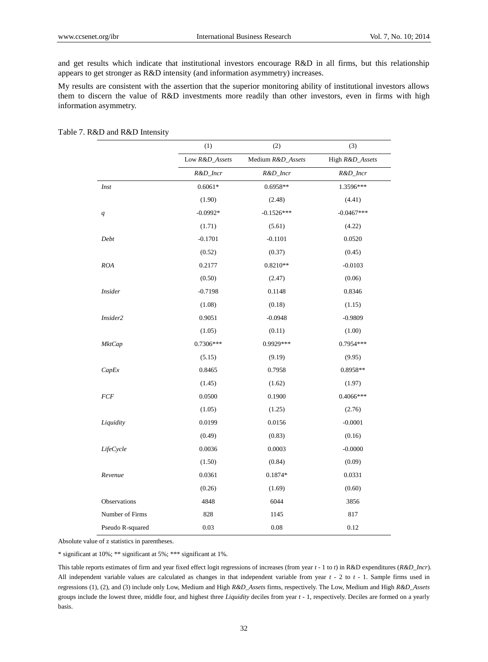$\overline{\phantom{a}}$ 

and get results which indicate that institutional investors encourage R&D in all firms, but this relationship appears to get stronger as R&D intensity (and information asymmetry) increases.

My results are consistent with the assertion that the superior monitoring ability of institutional investors allows them to discern the value of R&D investments more readily than other investors, even in firms with high information asymmetry.

|                  | (1)            | (2)               | (3)             |
|------------------|----------------|-------------------|-----------------|
|                  | Low R&D_Assets | Medium R&D_Assets | High R&D_Assets |
|                  | $R&D\_Incr$    | R&D_Incr          | $R&D\_Incr$     |
| <i>Inst</i>      | $0.6061*$      | $0.6958**$        | 1.3596***       |
|                  | (1.90)         | (2.48)            | (4.41)          |
| q                | $-0.0992*$     | $-0.1526***$      | $-0.0467***$    |
|                  | (1.71)         | (5.61)            | (4.22)          |
| Debt             | $-0.1701$      | $-0.1101$         | 0.0520          |
|                  | (0.52)         | (0.37)            | (0.45)          |
| <b>ROA</b>       | 0.2177         | $0.8210**$        | $-0.0103$       |
|                  | (0.50)         | (2.47)            | (0.06)          |
| <i>Insider</i>   | $-0.7198$      | 0.1148            | 0.8346          |
|                  | (1.08)         | (0.18)            | (1.15)          |
| Insider2         | 0.9051         | $-0.0948$         | $-0.9809$       |
|                  | (1.05)         | (0.11)            | (1.00)          |
| <b>MktCap</b>    | 0.7306***      | 0.9929***         | 0.7954 ***      |
|                  | (5.15)         | (9.19)            | (9.95)          |
| CapEx            | 0.8465         | 0.7958            | 0.8958**        |
|                  | (1.45)         | (1.62)            | (1.97)          |
| <b>FCF</b>       | 0.0500         | 0.1900            | 0.4066***       |
|                  | (1.05)         | (1.25)            | (2.76)          |
| Liquidity        | 0.0199         | 0.0156            | $-0.0001$       |
|                  | (0.49)         | (0.83)            | (0.16)          |
| LifeCycle        | 0.0036         | 0.0003            | $-0.0000$       |
|                  | (1.50)         | (0.84)            | (0.09)          |
| Revenue          | 0.0361         | $0.1874*$         | 0.0331          |
|                  | (0.26)         | (1.69)            | (0.60)          |
| Observations     | 4848           | 6044              | 3856            |
| Number of Firms  | 828            | 1145              | 817             |
| Pseudo R-squared | 0.03           | 0.08              | 0.12            |
|                  |                |                   |                 |

Absolute value of z statistics in parentheses.

\* significant at 10%; \*\* significant at 5%; \*\*\* significant at 1%.

This table reports estimates of firm and year fixed effect logit regressions of increases (from year *t* - 1 to *t*) in R&D expenditures (*R&D\_Incr*). All independent variable values are calculated as changes in that independent variable from year *t* - 2 to *t* - 1. Sample firms used in regressions (1), (2), and (3) include only Low, Medium and High *R&D\_Assets* firms, respectively. The Low, Medium and High *R&D\_Assets* groups include the lowest three, middle four, and highest three *Liquidity* deciles from year *t* - 1, respectively. Deciles are formed on a yearly basis.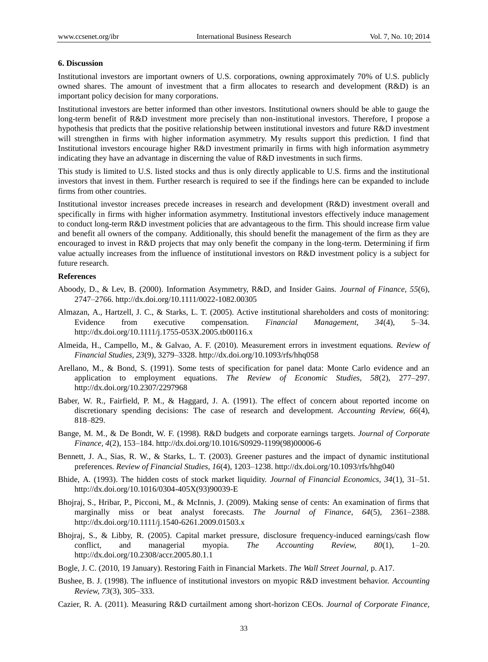#### **6. Discussion**

Institutional investors are important owners of U.S. corporations, owning approximately 70% of U.S. publicly owned shares. The amount of investment that a firm allocates to research and development (R&D) is an important policy decision for many corporations.

Institutional investors are better informed than other investors. Institutional owners should be able to gauge the long-term benefit of R&D investment more precisely than non-institutional investors. Therefore, I propose a hypothesis that predicts that the positive relationship between institutional investors and future R&D investment will strengthen in firms with higher information asymmetry. My results support this prediction. I find that Institutional investors encourage higher R&D investment primarily in firms with high information asymmetry indicating they have an advantage in discerning the value of R&D investments in such firms.

This study is limited to U.S. listed stocks and thus is only directly applicable to U.S. firms and the institutional investors that invest in them. Further research is required to see if the findings here can be expanded to include firms from other countries.

Institutional investor increases precede increases in research and development (R&D) investment overall and specifically in firms with higher information asymmetry. Institutional investors effectively induce management to conduct long-term R&D investment policies that are advantageous to the firm. This should increase firm value and benefit all owners of the company. Additionally, this should benefit the management of the firm as they are encouraged to invest in R&D projects that may only benefit the company in the long-term. Determining if firm value actually increases from the influence of institutional investors on R&D investment policy is a subject for future research.

## **References**

- Aboody, D., & Lev, B. (2000). Information Asymmetry, R&D, and Insider Gains. *Journal of Finance, 55*(6), 2747–2766. http://dx.doi.org/10.1111/0022-1082.00305
- Almazan, A., Hartzell, J. C., & Starks, L. T. (2005). Active institutional shareholders and costs of monitoring: Evidence from executive compensation. *Financial Management, 34*(4), 5–34. http://dx.doi.org/10.1111/j.1755-053X.2005.tb00116.x
- Almeida, H., Campello, M., & Galvao, A. F. (2010). Measurement errors in investment equations. *Review of Financial Studies, 23*(9), 3279–3328. http://dx.doi.org/10.1093/rfs/hhq058
- Arellano, M., & Bond, S. (1991). Some tests of specification for panel data: Monte Carlo evidence and an application to employment equations. *The Review of Economic Studies, 58*(2), 277–297. http://dx.doi.org/10.2307/2297968
- Baber, W. R., Fairfield, P. M., & Haggard, J. A. (1991). The effect of concern about reported income on discretionary spending decisions: The case of research and development. *Accounting Review, 66*(4), 818–829.
- Bange, M. M., & De Bondt, W. F. (1998). R&D budgets and corporate earnings targets. *Journal of Corporate Finance, 4*(2), 153–184. http://dx.doi.org/10.1016/S0929-1199(98)00006-6
- Bennett, J. A., Sias, R. W., & Starks, L. T. (2003). Greener pastures and the impact of dynamic institutional preferences. *Review of Financial Studies, 16*(4), 1203–1238. http://dx.doi.org/10.1093/rfs/hhg040
- Bhide, A. (1993). The hidden costs of stock market liquidity. *Journal of Financial Economics, 34*(1), 31–51. http://dx.doi.org/10.1016/0304-405X(93)90039-E
- Bhojraj, S., Hribar, P., Picconi, M., & McInnis, J. (2009). Making sense of cents: An examination of firms that marginally miss or beat analyst forecasts. *The Journal of Finance, 64*(5), 2361–2388. http://dx.doi.org/10.1111/j.1540-6261.2009.01503.x
- Bhojraj, S., & Libby, R. (2005). Capital market pressure, disclosure frequency-induced earnings/cash flow conflict, and managerial myopia. *The Accounting Review, 80*(1), 1–20. http://dx.doi.org/10.2308/accr.2005.80.1.1
- Bogle, J. C. (2010, 19 January). Restoring Faith in Financial Markets. *The Wall Street Journal,* p. A17.
- Bushee, B. J. (1998). The influence of institutional investors on myopic R&D investment behavior. *Accounting Review, 73*(3), 305–333.
- Cazier, R. A. (2011). Measuring R&D curtailment among short-horizon CEOs. *Journal of Corporate Finance,*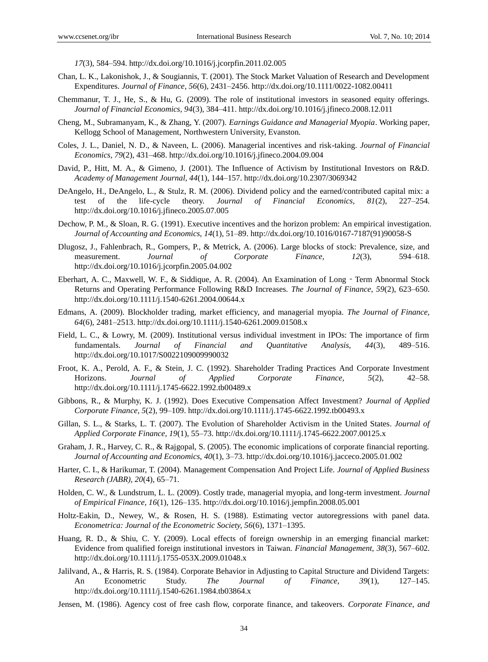*17*(3), 584–594. http://dx.doi.org/10.1016/j.jcorpfin.2011.02.005

- Chan, L. K., Lakonishok, J., & Sougiannis, T. (2001). The Stock Market Valuation of Research and Development Expenditures. *Journal of Finance, 56*(6), 2431–2456. http://dx.doi.org/10.1111/0022-1082.00411
- Chemmanur, T. J., He, S., & Hu, G. (2009). The role of institutional investors in seasoned equity offerings. *Journal of Financial Economics, 94*(3), 384–411. http://dx.doi.org/10.1016/j.jfineco.2008.12.011
- Cheng, M., Subramanyam, K., & Zhang, Y. (2007). *Earnings Guidance and Managerial Myopia*. Working paper, Kellogg School of Management, Northwestern University, Evanston.
- Coles, J. L., Daniel, N. D., & Naveen, L. (2006). Managerial incentives and risk-taking. *Journal of Financial Economics, 79*(2), 431–468. http://dx.doi.org/10.1016/j.jfineco.2004.09.004
- David, P., Hitt, M. A., & Gimeno, J. (2001). The Influence of Activism by Institutional Investors on R&D. *Academy of Management Journal, 44*(1), 144–157. http://dx.doi.org/10.2307/3069342
- DeAngelo, H., DeAngelo, L., & Stulz, R. M. (2006). Dividend policy and the earned/contributed capital mix: a test of the life-cycle theory. *Journal of Financial Economics, 81*(2), 227–254. http://dx.doi.org/10.1016/j.jfineco.2005.07.005
- Dechow, P. M., & Sloan, R. G. (1991). Executive incentives and the horizon problem: An empirical investigation. *Journal of Accounting and Economics, 14*(1), 51–89. http://dx.doi.org/10.1016/0167-7187(91)90058-S
- Dlugosz, J., Fahlenbrach, R., Gompers, P., & Metrick, A. (2006). Large blocks of stock: Prevalence, size, and measurement. *Journal of Corporate Finance, 12*(3), 594–618. http://dx.doi.org/10.1016/j.jcorpfin.2005.04.002
- Eberhart, A. C., Maxwell, W. F., & Siddique, A. R. (2004). An Examination of Long Term Abnormal Stock Returns and Operating Performance Following R&D Increases. *The Journal of Finance, 59*(2), 623–650. http://dx.doi.org/10.1111/j.1540-6261.2004.00644.x
- Edmans, A. (2009). Blockholder trading, market efficiency, and managerial myopia. *The Journal of Finance, 64*(6), 2481–2513. http://dx.doi.org/10.1111/j.1540-6261.2009.01508.x
- Field, L. C., & Lowry, M. (2009). Institutional versus individual investment in IPOs: The importance of firm fundamentals. *Journal of Financial and Quantitative Analysis, 44*(3), 489–516. http://dx.doi.org/10.1017/S0022109009990032
- Froot, K. A., Perold, A. F., & Stein, J. C. (1992). Shareholder Trading Practices And Corporate Investment Horizons. *Journal of Applied Corporate Finance, 5*(2), 42–58. http://dx.doi.org/10.1111/j.1745-6622.1992.tb00489.x
- Gibbons, R., & Murphy, K. J. (1992). Does Executive Compensation Affect Investment? *Journal of Applied Corporate Finance, 5*(2), 99–109. http://dx.doi.org/10.1111/j.1745-6622.1992.tb00493.x
- Gillan, S. L., & Starks, L. T. (2007). The Evolution of Shareholder Activism in the United States. *Journal of Applied Corporate Finance, 19*(1), 55–73. http://dx.doi.org/10.1111/j.1745-6622.2007.00125.x
- Graham, J. R., Harvey, C. R., & Rajgopal, S. (2005). The economic implications of corporate financial reporting. *Journal of Accounting and Economics, 40*(1), 3–73. http://dx.doi.org/10.1016/j.jacceco.2005.01.002
- Harter, C. I., & Harikumar, T. (2004). Management Compensation And Project Life. *Journal of Applied Business Research (JABR), 20*(4), 65–71.
- Holden, C. W., & Lundstrum, L. L. (2009). Costly trade, managerial myopia, and long-term investment. *Journal of Empirical Finance, 16*(1), 126–135. http://dx.doi.org/10.1016/j.jempfin.2008.05.001
- Holtz-Eakin, D., Newey, W., & Rosen, H. S. (1988). Estimating vector autoregressions with panel data. *Econometrica: Journal of the Econometric Society, 56*(6), 1371–1395.
- Huang, R. D., & Shiu, C. Y. (2009). Local effects of foreign ownership in an emerging financial market: Evidence from qualified foreign institutional investors in Taiwan. *Financial Management, 38*(3), 567–602. http://dx.doi.org/10.1111/j.1755-053X.2009.01048.x
- Jalilvand, A., & Harris, R. S. (1984). Corporate Behavior in Adjusting to Capital Structure and Dividend Targets: An Econometric Study. *The Journal of Finance, 39*(1), 127–145. http://dx.doi.org/10.1111/j.1540-6261.1984.tb03864.x
- Jensen, M. (1986). Agency cost of free cash flow, corporate finance, and takeovers. *Corporate Finance, and*